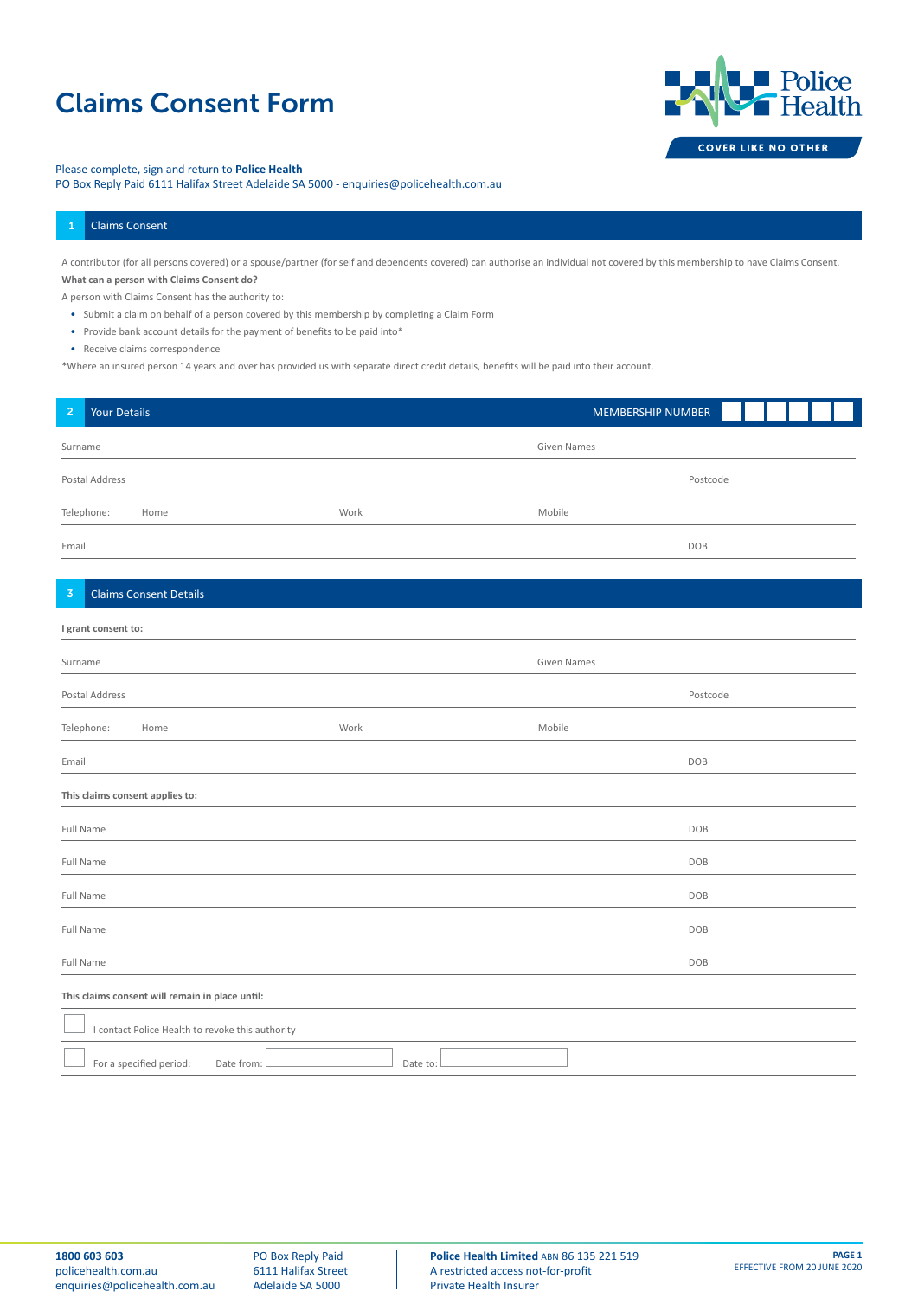# Claims Consent Form



### Please complete, sign and return to **Police Health**

PO Box Reply Paid 6111 Halifax Street Adelaide SA 5000 - enquiries@policehealth.com.au

#### 1 Claims Consent

A contributor (for all persons covered) or a spouse/partner (for self and dependents covered) can authorise an individual not covered by this membership to have Claims Consent. **What can a person with Claims Consent do?**

A person with Claims Consent has the authority to:

- Submit a claim on behalf of a person covered by this membership by completing a Claim Form
- Provide bank account details for the payment of benefits to be paid into\*

• Receive claims correspondence

\*Where an insured person 14 years and over has provided us with separate direct credit details, benefits will be paid into their account.

| $\overline{a}$                                   | Your Details                          |          | MEMBERSHIP NUMBER  |
|--------------------------------------------------|---------------------------------------|----------|--------------------|
| Surname                                          |                                       |          | Given Names        |
| Postal Address                                   |                                       |          | Postcode           |
|                                                  | Telephone:<br>Home                    | Work     | Mobile             |
| Email                                            |                                       |          | DOB                |
| $\overline{3}$                                   | <b>Claims Consent Details</b>         |          |                    |
|                                                  | I grant consent to:                   |          |                    |
| Surname                                          |                                       |          | <b>Given Names</b> |
|                                                  | Postal Address                        |          | Postcode           |
|                                                  | Telephone:<br>Home                    | Work     | Mobile             |
| Email                                            |                                       |          | DOB                |
| This claims consent applies to:                  |                                       |          |                    |
| Full Name                                        |                                       |          | DOB                |
| Full Name                                        |                                       |          | DOB                |
| Full Name                                        |                                       |          | DOB                |
| Full Name                                        |                                       |          | DOB                |
| Full Name                                        |                                       |          | DOB                |
| This claims consent will remain in place until:  |                                       |          |                    |
| I contact Police Health to revoke this authority |                                       |          |                    |
|                                                  | For a specified period:<br>Date from: | Date to: |                    |

PO Box Reply Paid 6111 Halifax Street Adelaide SA 5000